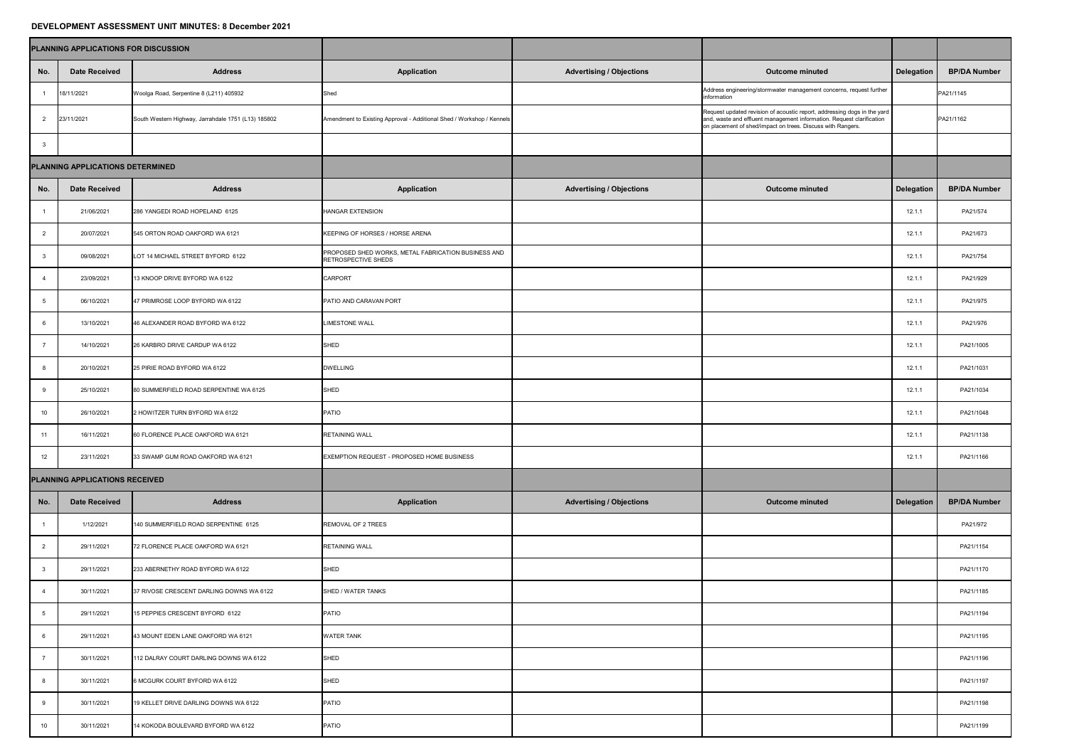## **DEVELOPMENT ASSESSMENT UNIT MINUTES: 8 December 2021**

|                                         | <b>PLANNING APPLICATIONS FOR DISCUSSION</b> |                                                     |                                                                                   |                                 |                                                                                                                                                                                                                  |            |                     |
|-----------------------------------------|---------------------------------------------|-----------------------------------------------------|-----------------------------------------------------------------------------------|---------------------------------|------------------------------------------------------------------------------------------------------------------------------------------------------------------------------------------------------------------|------------|---------------------|
| No.                                     | <b>Date Received</b>                        | <b>Address</b>                                      | <b>Application</b>                                                                | <b>Advertising / Objections</b> | <b>Outcome minuted</b>                                                                                                                                                                                           | Delegation | <b>BP/DA Number</b> |
|                                         | 18/11/2021                                  | Woolga Road, Serpentine 8 (L211) 405932             | Shed                                                                              |                                 | Address engineering/stormwater management concerns, request further<br>information                                                                                                                               |            | PA21/1145           |
| $\overline{2}$                          | 23/11/2021                                  | South Western Highway, Jarrahdale 1751 (L13) 185802 | Amendment to Existing Approval - Additional Shed / Workshop / Kennels             |                                 | Request updated revision of acoustic report, addressing dogs in the yard<br>and, waste and effluent management information. Request clarification<br>on placement of shed/impact on trees. Discuss with Rangers. |            | PA21/1162           |
| $\mathbf{3}$                            |                                             |                                                     |                                                                                   |                                 |                                                                                                                                                                                                                  |            |                     |
| <b>PLANNING APPLICATIONS DETERMINED</b> |                                             |                                                     |                                                                                   |                                 |                                                                                                                                                                                                                  |            |                     |
| No.                                     | <b>Date Received</b>                        | <b>Address</b>                                      | <b>Application</b>                                                                | <b>Advertising / Objections</b> | <b>Outcome minuted</b>                                                                                                                                                                                           | Delegation | <b>BP/DA Number</b> |
|                                         | 21/06/2021                                  | 286 YANGEDI ROAD HOPELAND 6125                      | HANGAR EXTENSION                                                                  |                                 |                                                                                                                                                                                                                  | 12.1.7     | PA21/574            |
| $\overline{2}$                          | 20/07/2021                                  | 545 ORTON ROAD OAKFORD WA 6121                      | KEEPING OF HORSES / HORSE ARENA                                                   |                                 |                                                                                                                                                                                                                  | 12.1.7     | PA21/673            |
| $\mathbf{3}$                            | 09/08/2021                                  | LOT 14 MICHAEL STREET BYFORD 6122                   | PROPOSED SHED WORKS, METAL FABRICATION BUSINESS AND<br><b>RETROSPECTIVE SHEDS</b> |                                 |                                                                                                                                                                                                                  | 12.1.      | PA21/754            |
|                                         | 23/09/2021                                  | 13 KNOOP DRIVE BYFORD WA 6122                       | <b>CARPORT</b>                                                                    |                                 |                                                                                                                                                                                                                  | 12.1.1     | PA21/929            |
|                                         | 06/10/2021                                  | 47 PRIMROSE LOOP BYFORD WA 6122                     | <b>PATIO AND CARAVAN PORT</b>                                                     |                                 |                                                                                                                                                                                                                  | 12.1.1     | PA21/975            |
| 6                                       | 13/10/2021                                  | 46 ALEXANDER ROAD BYFORD WA 6122                    | <b>LIMESTONE WALL</b>                                                             |                                 |                                                                                                                                                                                                                  | 12.1.1     | PA21/976            |
|                                         | 14/10/2021                                  | 26 KARBRO DRIVE CARDUP WA 6122                      | SHED                                                                              |                                 |                                                                                                                                                                                                                  | 12.1.1     | PA21/1005           |
|                                         | 20/10/2021                                  | 25 PIRIE ROAD BYFORD WA 6122                        | <b>DWELLING</b>                                                                   |                                 |                                                                                                                                                                                                                  | 12.1.1     | PA21/1031           |
| Q                                       | 25/10/2021                                  | 80 SUMMERFIELD ROAD SERPENTINE WA 6125              | SHED                                                                              |                                 |                                                                                                                                                                                                                  | 12.1.1     | PA21/1034           |
| 10 <sup>1</sup>                         | 26/10/2021                                  | 2 HOWITZER TURN BYFORD WA 6122                      | <b>PATIO</b>                                                                      |                                 |                                                                                                                                                                                                                  | 12.1.1     | PA21/1048           |
| 11                                      | 16/11/2021                                  | 60 FLORENCE PLACE OAKFORD WA 6121                   | <b>RETAINING WALL</b>                                                             |                                 |                                                                                                                                                                                                                  | 12.1.7     | PA21/1138           |
| 12                                      | 23/11/2021                                  | 33 SWAMP GUM ROAD OAKFORD WA 6121                   | <b>EXEMPTION REQUEST - PROPOSED HOME BUSINESS</b>                                 |                                 |                                                                                                                                                                                                                  | 12.1.1     | PA21/1166           |
| <b>PLANNING APPLICATIONS RECEIVED</b>   |                                             |                                                     |                                                                                   |                                 |                                                                                                                                                                                                                  |            |                     |
| No.                                     | <b>Date Received</b>                        | <b>Address</b>                                      | <b>Application</b>                                                                | <b>Advertising / Objections</b> | <b>Outcome minuted</b>                                                                                                                                                                                           | Delegation | <b>BP/DA Number</b> |
|                                         | 1/12/2021                                   | 140 SUMMERFIELD ROAD SERPENTINE 6125                | <b>REMOVAL OF 2 TREES</b>                                                         |                                 |                                                                                                                                                                                                                  |            | PA21/972            |
| $\mathcal{P}$                           | 29/11/2021                                  | 72 FLORENCE PLACE OAKFORD WA 6121                   | <b>RETAINING WALL</b>                                                             |                                 |                                                                                                                                                                                                                  |            | PA21/1154           |
| $\mathcal{B}$                           | 29/11/2021                                  | 233 ABERNETHY ROAD BYFORD WA 6122                   | SHED                                                                              |                                 |                                                                                                                                                                                                                  |            | PA21/1170           |
|                                         | 30/11/2021                                  | 37 RIVOSE CRESCENT DARLING DOWNS WA 6122            | SHED / WATER TANKS                                                                |                                 |                                                                                                                                                                                                                  |            | PA21/1185           |
| 5                                       | 29/11/2021                                  | 15 PEPPIES CRESCENT BYFORD 6122                     | <b>PATIO</b>                                                                      |                                 |                                                                                                                                                                                                                  |            | PA21/1194           |
| 6                                       | 29/11/2021                                  | 43 MOUNT EDEN LANE OAKFORD WA 6121                  | <b>WATER TANK</b>                                                                 |                                 |                                                                                                                                                                                                                  |            | PA21/1195           |
|                                         | 30/11/2021                                  | 112 DALRAY COURT DARLING DOWNS WA 6122              | SHED                                                                              |                                 |                                                                                                                                                                                                                  |            | PA21/1196           |
| 8                                       | 30/11/2021                                  | 6 MCGURK COURT BYFORD WA 6122                       | SHED                                                                              |                                 |                                                                                                                                                                                                                  |            | PA21/1197           |
| 9                                       | 30/11/2021                                  | 19 KELLET DRIVE DARLING DOWNS WA 6122               | <b>PATIO</b>                                                                      |                                 |                                                                                                                                                                                                                  |            | PA21/1198           |
| 10                                      | 30/11/2021                                  | 14 KOKODA BOULEVARD BYFORD WA 6122                  | <b>PATIO</b>                                                                      |                                 |                                                                                                                                                                                                                  |            | PA21/1199           |